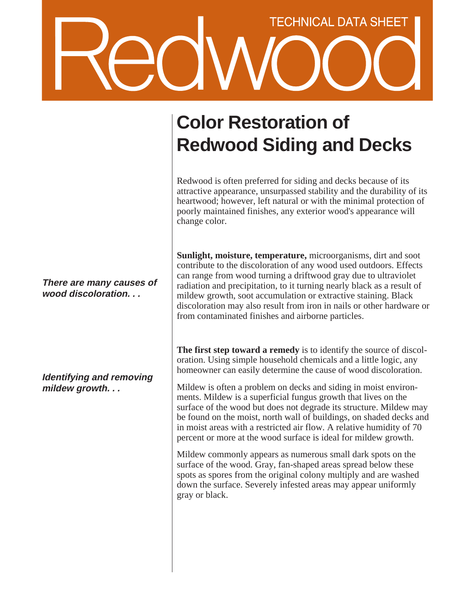## **TECHNICAL DATA SHEET**

## **Color Restoration of Redwood Siding and Decks**

Redwood is often preferred for siding and decks because of its attractive appearance, unsurpassed stability and the durability of its heartwood; however, left natural or with the minimal protection of poorly maintained finishes, any exterior wood's appearance will change color.

**Sunlight, moisture, temperature,** microorganisms, dirt and soot contribute to the discoloration of any wood used outdoors. Effects can range from wood turning a driftwood gray due to ultraviolet radiation and precipitation, to it turning nearly black as a result of mildew growth, soot accumulation or extractive staining. Black discoloration may also result from iron in nails or other hardware or from contaminated finishes and airborne particles.

**The first step toward a remedy** is to identify the source of discoloration. Using simple household chemicals and a little logic, any homeowner can easily determine the cause of wood discoloration.

Mildew is often a problem on decks and siding in moist environments. Mildew is a superficial fungus growth that lives on the surface of the wood but does not degrade its structure. Mildew may be found on the moist, north wall of buildings, on shaded decks and in moist areas with a restricted air flow. A relative humidity of 70 percent or more at the wood surface is ideal for mildew growth.

Mildew commonly appears as numerous small dark spots on the surface of the wood. Gray, fan-shaped areas spread below these spots as spores from the original colony multiply and are washed down the surface. Severely infested areas may appear uniformly gray or black.

**There are many causes of wood discoloration. . .**

**Identifying and removing mildew growth. . .**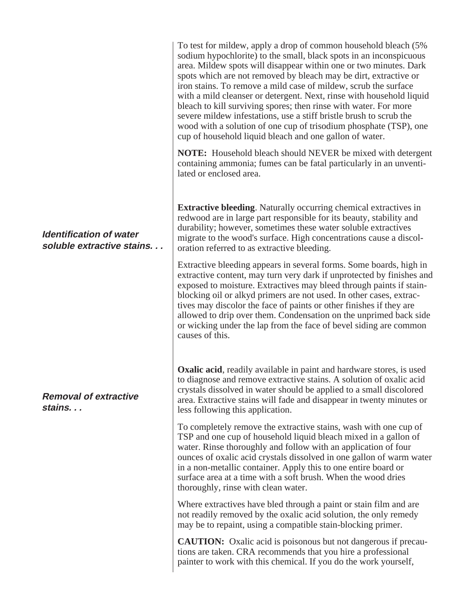|                                                             | To test for mildew, apply a drop of common household bleach (5%<br>sodium hypochlorite) to the small, black spots in an inconspicuous<br>area. Mildew spots will disappear within one or two minutes. Dark<br>spots which are not removed by bleach may be dirt, extractive or<br>iron stains. To remove a mild case of mildew, scrub the surface<br>with a mild cleanser or detergent. Next, rinse with household liquid<br>bleach to kill surviving spores; then rinse with water. For more<br>severe mildew infestations, use a stiff bristle brush to scrub the<br>wood with a solution of one cup of trisodium phosphate (TSP), one<br>cup of household liquid bleach and one gallon of water. |
|-------------------------------------------------------------|-----------------------------------------------------------------------------------------------------------------------------------------------------------------------------------------------------------------------------------------------------------------------------------------------------------------------------------------------------------------------------------------------------------------------------------------------------------------------------------------------------------------------------------------------------------------------------------------------------------------------------------------------------------------------------------------------------|
|                                                             | <b>NOTE:</b> Household bleach should NEVER be mixed with detergent<br>containing ammonia; fumes can be fatal particularly in an unventi-<br>lated or enclosed area.                                                                                                                                                                                                                                                                                                                                                                                                                                                                                                                                 |
| <b>Identification of water</b><br>soluble extractive stains | <b>Extractive bleeding.</b> Naturally occurring chemical extractives in<br>redwood are in large part responsible for its beauty, stability and<br>durability; however, sometimes these water soluble extractives<br>migrate to the wood's surface. High concentrations cause a discol-<br>oration referred to as extractive bleeding.                                                                                                                                                                                                                                                                                                                                                               |
|                                                             | Extractive bleeding appears in several forms. Some boards, high in<br>extractive content, may turn very dark if unprotected by finishes and<br>exposed to moisture. Extractives may bleed through paints if stain-<br>blocking oil or alkyd primers are not used. In other cases, extrac-<br>tives may discolor the face of paints or other finishes if they are<br>allowed to drip over them. Condensation on the unprimed back side<br>or wicking under the lap from the face of bevel siding are common<br>causes of this.                                                                                                                                                                       |
| <b>Removal of extractive</b><br>stains                      | <b>Oxalic acid</b> , readily available in paint and hardware stores, is used<br>to diagnose and remove extractive stains. A solution of oxalic acid<br>crystals dissolved in water should be applied to a small discolored<br>area. Extractive stains will fade and disappear in twenty minutes or<br>less following this application.                                                                                                                                                                                                                                                                                                                                                              |
|                                                             | To completely remove the extractive stains, wash with one cup of<br>TSP and one cup of household liquid bleach mixed in a gallon of<br>water. Rinse thoroughly and follow with an application of four<br>ounces of oxalic acid crystals dissolved in one gallon of warm water<br>in a non-metallic container. Apply this to one entire board or<br>surface area at a time with a soft brush. When the wood dries<br>thoroughly, rinse with clean water.                                                                                                                                                                                                                                             |
|                                                             | Where extractives have bled through a paint or stain film and are<br>not readily removed by the oxalic acid solution, the only remedy<br>may be to repaint, using a compatible stain-blocking primer.                                                                                                                                                                                                                                                                                                                                                                                                                                                                                               |
|                                                             | <b>CAUTION:</b> Oxalic acid is poisonous but not dangerous if precau-<br>tions are taken. CRA recommends that you hire a professional<br>painter to work with this chemical. If you do the work yourself,                                                                                                                                                                                                                                                                                                                                                                                                                                                                                           |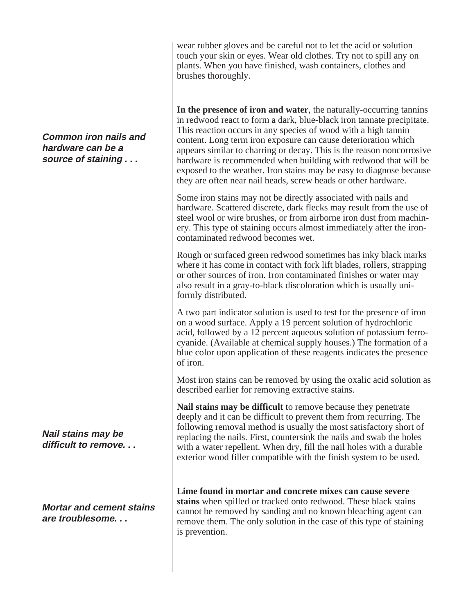wear rubber gloves and be careful not to let the acid or solution touch your skin or eyes. Wear old clothes. Try not to spill any on plants. When you have finished, wash containers, clothes and brushes thoroughly.

**In the presence of iron and water**, the naturally-occurring tannins in redwood react to form a dark, blue-black iron tannate precipitate. This reaction occurs in any species of wood with a high tannin content. Long term iron exposure can cause deterioration which appears similar to charring or decay. This is the reason noncorrosive hardware is recommended when building with redwood that will be exposed to the weather. Iron stains may be easy to diagnose because they are often near nail heads, screw heads or other hardware.

Some iron stains may not be directly associated with nails and hardware. Scattered discrete, dark flecks may result from the use of steel wool or wire brushes, or from airborne iron dust from machinery. This type of staining occurs almost immediately after the ironcontaminated redwood becomes wet.

Rough or surfaced green redwood sometimes has inky black marks where it has come in contact with fork lift blades, rollers, strapping or other sources of iron. Iron contaminated finishes or water may also result in a gray-to-black discoloration which is usually uniformly distributed.

A two part indicator solution is used to test for the presence of iron on a wood surface. Apply a 19 percent solution of hydrochloric acid, followed by a 12 percent aqueous solution of potassium ferrocyanide. (Available at chemical supply houses.) The formation of a blue color upon application of these reagents indicates the presence of iron.

Most iron stains can be removed by using the oxalic acid solution as described earlier for removing extractive stains.

**Nail stains may be difficult** to remove because they penetrate deeply and it can be difficult to prevent them from recurring. The following removal method is usually the most satisfactory short of replacing the nails. First, countersink the nails and swab the holes with a water repellent. When dry, fill the nail holes with a durable exterior wood filler compatible with the finish system to be used.

**Lime found in mortar and concrete mixes can cause severe stains** when spilled or tracked onto redwood. These black stains cannot be removed by sanding and no known bleaching agent can remove them. The only solution in the case of this type of staining is prevention.

**Common iron nails and hardware can be a source of staining . . .**

**Nail stains may be difficult to remove. . .**

**Mortar and cement stains are troublesome. . .**